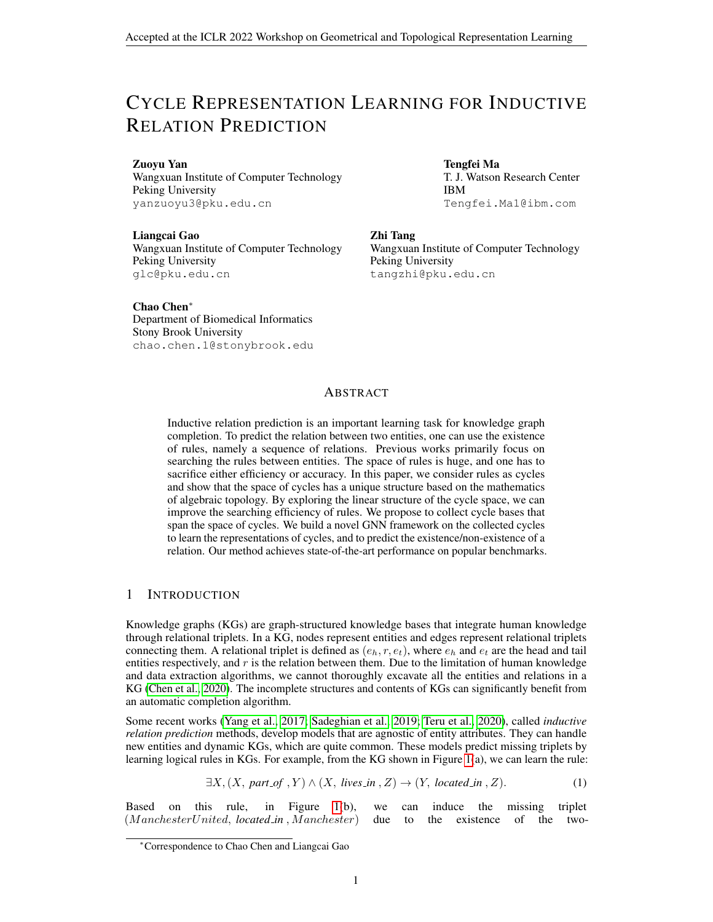# CYCLE REPRESENTATION LEARNING FOR INDUCTIVE RELATION PREDICTION

Zuoyu Yan Wangxuan Institute of Computer Technology Peking University yanzuoyu3@pku.edu.cn

Liangcai Gao Wangxuan Institute of Computer Technology Peking University glc@pku.edu.cn

Tengfei Ma

T. J. Watson Research Center IBM Tengfei.Ma1@ibm.com

#### Zhi Tang

Wangxuan Institute of Computer Technology Peking University tangzhi@pku.edu.cn

Chao Chen<sup>∗</sup>

Department of Biomedical Informatics Stony Brook University chao.chen.1@stonybrook.edu

## ABSTRACT

Inductive relation prediction is an important learning task for knowledge graph completion. To predict the relation between two entities, one can use the existence of rules, namely a sequence of relations. Previous works primarily focus on searching the rules between entities. The space of rules is huge, and one has to sacrifice either efficiency or accuracy. In this paper, we consider rules as cycles and show that the space of cycles has a unique structure based on the mathematics of algebraic topology. By exploring the linear structure of the cycle space, we can improve the searching efficiency of rules. We propose to collect cycle bases that span the space of cycles. We build a novel GNN framework on the collected cycles to learn the representations of cycles, and to predict the existence/non-existence of a relation. Our method achieves state-of-the-art performance on popular benchmarks.

## 1 INTRODUCTION

Knowledge graphs (KGs) are graph-structured knowledge bases that integrate human knowledge through relational triplets. In a KG, nodes represent entities and edges represent relational triplets connecting them. A relational triplet is defined as  $(e_h, r, e_t)$ , where  $e_h$  and  $e_t$  are the head and tail entities respectively, and  $r$  is the relation between them. Due to the limitation of human knowledge and data extraction algorithms, we cannot thoroughly excavate all the entities and relations in a KG [\(Chen et al., 2020\)](#page-4-0). The incomplete structures and contents of KGs can significantly benefit from an automatic completion algorithm.

Some recent works [\(Yang et al., 2017;](#page-5-0) [Sadeghian et al., 2019;](#page-5-1) [Teru et al., 2020\)](#page-5-2), called *inductive relation prediction* methods, develop models that are agnostic of entity attributes. They can handle new entities and dynamic KGs, which are quite common. These models predict missing triplets by learning logical rules in KGs. For example, from the KG shown in Figure [1\(](#page-1-0)a), we can learn the rule:

$$
\exists X, (X, part\_of, Y) \land (X, lives\_in, Z) \rightarrow (Y, located\_in, Z). \tag{1}
$$

Based on this rule, in Figure [1\(](#page-1-0)b), we can induce the missing triplet (M anchesterUnited, *located in* , M anchester) due to the existence of the two-

<sup>∗</sup>Correspondence to Chao Chen and Liangcai Gao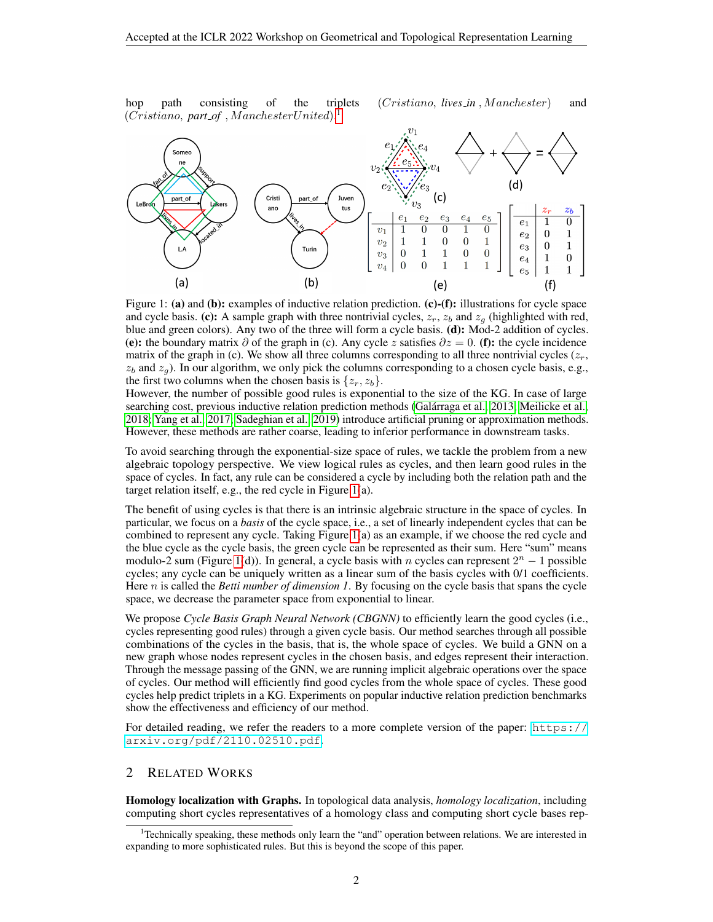hop path consisting of the triplets (Cristiano, *lives\_in*, Manchester) and (Cristiano, *part of* , M anchesterUnited). [1](#page-1-1)



<span id="page-1-0"></span>Figure 1: (a) and (b): examples of inductive relation prediction. (c)-(f): illustrations for cycle space and cycle basis. (c): A sample graph with three nontrivial cycles,  $z_r$ ,  $z_b$  and  $z_g$  (highlighted with red, blue and green colors). Any two of the three will form a cycle basis. (d): Mod-2 addition of cycles. (e): the boundary matrix  $\partial$  of the graph in (c). Any cycle z satisfies  $\partial z = 0$ . (f): the cycle incidence matrix of the graph in (c). We show all three columns corresponding to all three nontrivial cycles  $(z_r, z_r)$  $z_b$  and  $z_g$ ). In our algorithm, we only pick the columns corresponding to a chosen cycle basis, e.g., the first two columns when the chosen basis is  $\{z_r, z_b\}$ .

However, the number of possible good rules is exponential to the size of the KG. In case of large searching cost, previous inductive relation prediction methods (Galárraga et al., 2013; [Meilicke et al.,](#page-5-3) [2018;](#page-5-3) [Yang et al., 2017;](#page-5-0) [Sadeghian et al., 2019\)](#page-5-1) introduce artificial pruning or approximation methods. However, these methods are rather coarse, leading to inferior performance in downstream tasks.

To avoid searching through the exponential-size space of rules, we tackle the problem from a new algebraic topology perspective. We view logical rules as cycles, and then learn good rules in the space of cycles. In fact, any rule can be considered a cycle by including both the relation path and the target relation itself, e.g., the red cycle in Figure [1\(](#page-1-0)a).

The benefit of using cycles is that there is an intrinsic algebraic structure in the space of cycles. In particular, we focus on a *basis* of the cycle space, i.e., a set of linearly independent cycles that can be combined to represent any cycle. Taking Figure [1\(](#page-1-0)a) as an example, if we choose the red cycle and the blue cycle as the cycle basis, the green cycle can be represented as their sum. Here "sum" means modulo-2 sum (Figure [1\(](#page-1-0)d)). In general, a cycle basis with n cycles can represent  $2^n - 1$  possible cycles; any cycle can be uniquely written as a linear sum of the basis cycles with 0/1 coefficients. Here n is called the *Betti number of dimension 1*. By focusing on the cycle basis that spans the cycle space, we decrease the parameter space from exponential to linear.

We propose *Cycle Basis Graph Neural Network (CBGNN)* to efficiently learn the good cycles (i.e., cycles representing good rules) through a given cycle basis. Our method searches through all possible combinations of the cycles in the basis, that is, the whole space of cycles. We build a GNN on a new graph whose nodes represent cycles in the chosen basis, and edges represent their interaction. Through the message passing of the GNN, we are running implicit algebraic operations over the space of cycles. Our method will efficiently find good cycles from the whole space of cycles. These good cycles help predict triplets in a KG. Experiments on popular inductive relation prediction benchmarks show the effectiveness and efficiency of our method.

For detailed reading, we refer the readers to a more complete version of the paper: [https://](https://arxiv.org/pdf/2110.02510.pdf) [arxiv.org/pdf/2110.02510.pdf](https://arxiv.org/pdf/2110.02510.pdf).

## 2 RELATED WORKS

Homology localization with Graphs. In topological data analysis, *homology localization*, including computing short cycles representatives of a homology class and computing short cycle bases rep-

<span id="page-1-1"></span><sup>&</sup>lt;sup>1</sup>Technically speaking, these methods only learn the "and" operation between relations. We are interested in expanding to more sophisticated rules. But this is beyond the scope of this paper.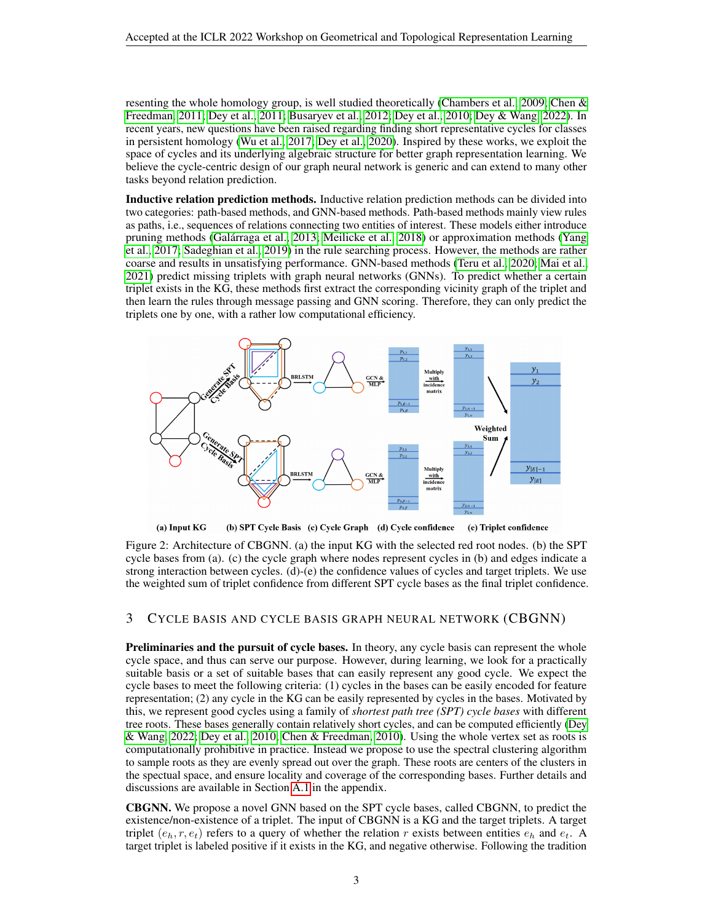resenting the whole homology group, is well studied theoretically [\(Chambers et al., 2009;](#page-4-2) [Chen &](#page-4-3) [Freedman, 2011;](#page-4-3) [Dey et al., 2011;](#page-4-4) [Busaryev et al., 2012;](#page-4-5) [Dey et al., 2010;](#page-4-6) [Dey & Wang, 2022\)](#page-4-7). In recent years, new questions have been raised regarding finding short representative cycles for classes in persistent homology [\(Wu et al., 2017;](#page-5-4) [Dey et al., 2020\)](#page-4-8). Inspired by these works, we exploit the space of cycles and its underlying algebraic structure for better graph representation learning. We believe the cycle-centric design of our graph neural network is generic and can extend to many other tasks beyond relation prediction.

Inductive relation prediction methods. Inductive relation prediction methods can be divided into two categories: path-based methods, and GNN-based methods. Path-based methods mainly view rules as paths, i.e., sequences of relations connecting two entities of interest. These models either introduce pruning methods [\(Galarraga et al., 2013;](#page-4-1) [Meilicke et al., 2018\)](#page-5-3) or approximation methods [\(Yang](#page-5-0) ´ [et al., 2017;](#page-5-0) [Sadeghian et al., 2019\)](#page-5-1) in the rule searching process. However, the methods are rather coarse and results in unsatisfying performance. GNN-based methods [\(Teru et al., 2020;](#page-5-2) [Mai et al.,](#page-5-5) [2021\)](#page-5-5) predict missing triplets with graph neural networks (GNNs). To predict whether a certain triplet exists in the KG, these methods first extract the corresponding vicinity graph of the triplet and then learn the rules through message passing and GNN scoring. Therefore, they can only predict the triplets one by one, with a rather low computational efficiency.



<span id="page-2-0"></span>(a) Input KG (b) SPT Cycle Basis (c) Cycle Graph (d) Cycle confidence (e) Triplet confidence

Figure 2: Architecture of CBGNN. (a) the input KG with the selected red root nodes. (b) the SPT cycle bases from (a). (c) the cycle graph where nodes represent cycles in (b) and edges indicate a strong interaction between cycles. (d)-(e) the confidence values of cycles and target triplets. We use the weighted sum of triplet confidence from different SPT cycle bases as the final triplet confidence.

## 3 CYCLE BASIS AND CYCLE BASIS GRAPH NEURAL NETWORK (CBGNN)

Preliminaries and the pursuit of cycle bases. In theory, any cycle basis can represent the whole cycle space, and thus can serve our purpose. However, during learning, we look for a practically suitable basis or a set of suitable bases that can easily represent any good cycle. We expect the cycle bases to meet the following criteria: (1) cycles in the bases can be easily encoded for feature representation; (2) any cycle in the KG can be easily represented by cycles in the bases. Motivated by this, we represent good cycles using a family of *shortest path tree (SPT) cycle bases* with different tree roots. These bases generally contain relatively short cycles, and can be computed efficiently [\(Dey](#page-4-7) [& Wang, 2022;](#page-4-7) [Dey et al., 2010;](#page-4-6) [Chen & Freedman, 2010\)](#page-4-9). Using the whole vertex set as roots is computationally prohibitive in practice. Instead we propose to use the spectral clustering algorithm to sample roots as they are evenly spread out over the graph. These roots are centers of the clusters in the spectual space, and ensure locality and coverage of the corresponding bases. Further details and discussions are available in Section [A.1](#page-5-6) in the appendix.

CBGNN. We propose a novel GNN based on the SPT cycle bases, called CBGNN, to predict the existence/non-existence of a triplet. The input of CBGNN is a KG and the target triplets. A target triplet  $(e_h, r, e_t)$  refers to a query of whether the relation r exists between entities  $e_h$  and  $e_t$ . A target triplet is labeled positive if it exists in the KG, and negative otherwise. Following the tradition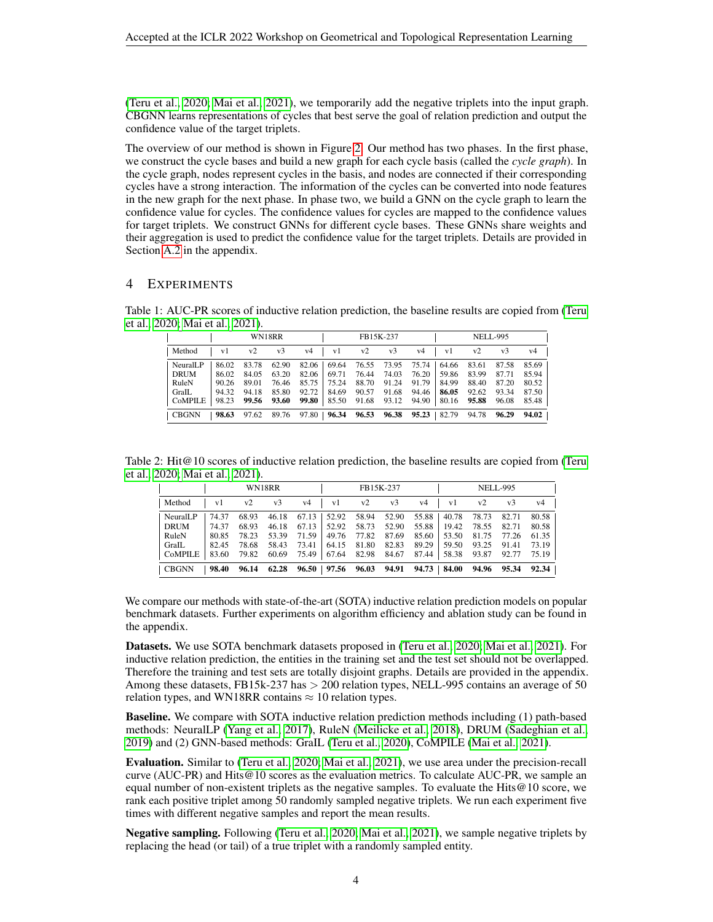[\(Teru et al., 2020;](#page-5-2) [Mai et al., 2021\)](#page-5-5), we temporarily add the negative triplets into the input graph. CBGNN learns representations of cycles that best serve the goal of relation prediction and output the confidence value of the target triplets.

The overview of our method is shown in Figure [2.](#page-2-0) Our method has two phases. In the first phase, we construct the cycle bases and build a new graph for each cycle basis (called the *cycle graph*). In the cycle graph, nodes represent cycles in the basis, and nodes are connected if their corresponding cycles have a strong interaction. The information of the cycles can be converted into node features in the new graph for the next phase. In phase two, we build a GNN on the cycle graph to learn the confidence value for cycles. The confidence values for cycles are mapped to the confidence values for target triplets. We construct GNNs for different cycle bases. These GNNs share weights and their aggregation is used to predict the confidence value for the target triplets. Details are provided in Section [A.2](#page-7-0) in the appendix.

## <span id="page-3-2"></span>4 EXPERIMENTS

Table 1: AUC-PR scores of inductive relation prediction, the baseline results are copied from [\(Teru](#page-5-2) [et al., 2020;](#page-5-2) [Mai et al., 2021\)](#page-5-5).

<span id="page-3-0"></span>

|                                               | WN18RR                             |                                  |                                  |                                                                         |  | FB15K-237      |  |                                                                                                                                                                                                                     |  | <b>NELL-995</b> |                |                                           |
|-----------------------------------------------|------------------------------------|----------------------------------|----------------------------------|-------------------------------------------------------------------------|--|----------------|--|---------------------------------------------------------------------------------------------------------------------------------------------------------------------------------------------------------------------|--|-----------------|----------------|-------------------------------------------|
| Method                                        | v1                                 | v2                               | v3                               | v4                                                                      |  | $v1$ $v2$ $v3$ |  | v4                                                                                                                                                                                                                  |  | $v1$ $v2$       | v3             | v4                                        |
| NeuralLP<br>DRUM<br>RuleN<br>GraIL<br>CoMPILE | 86.02<br> 86.02 <br>90.26<br>94.32 | 83.78<br>84.05<br>89.01<br>94.18 | 62.90<br>63.20<br>76.46<br>85.80 | 98.23 99.56 93.60 99.80 85.50 91.68 93.12 94.90 80.16 95.88 96.08       |  |                |  | 82.06   69.64 76.55 73.95 75.74   64.66 83.61 87.58<br>82.06   69.71 76.44 74.03 76.20   59.86 83.99 87.71<br>85.75   75.24 88.70 91.24 91.79   84.99<br>$92.72$   84.69 $90.57$ 91.68 $94.46$   <b>86.05</b> 92.62 |  | 88.40           | 87.20<br>93.34 | 85.69<br>85.94<br>80.52<br>87.50<br>85.48 |
| <b>CBGNN</b>                                  |                                    |                                  |                                  | 98.63 97.62 89.76 97.80 96.34 96.53 96.38 95.23 82.79 94.78 96.29 94.02 |  |                |  |                                                                                                                                                                                                                     |  |                 |                |                                           |

Table 2: Hit@10 scores of inductive relation prediction, the baseline results are copied from [\(Teru](#page-5-2) [et al., 2020;](#page-5-2) [Mai et al., 2021\)](#page-5-5).

<span id="page-3-1"></span>

|                | WN18RR |             |                                                                   | FB15K-237 |                     |                                                       |       | <b>NELL-995</b> |    |                   |       |       |
|----------------|--------|-------------|-------------------------------------------------------------------|-----------|---------------------|-------------------------------------------------------|-------|-----------------|----|-------------------|-------|-------|
| Method         | v1     | v2          | v <sub>3</sub>                                                    | v4        | v1                  | v2                                                    | v3    | v4              | v1 | v2                | $v_3$ | v4    |
| NeuralLP       | 74.37  | 68.93       |                                                                   |           |                     | 46.18 67.13 52.92 58.94 52.90 55.88 40.78 78.73       |       |                 |    |                   | 82.71 | 80.58 |
| DRUM           | 74.37  | 68.93       | 46.18                                                             |           |                     | 67.13   52.92 58.73 52.90 55.88   19.42 78.55 82.71   |       |                 |    |                   |       | 80.58 |
| RuleN          | 80.85  | 78.23       | 53.39                                                             | 71.59     |                     | 49.76 77.82 87.69 85.60                               |       |                 |    | 53.50 81.75 77.26 |       | 61.35 |
| GraIL          | 82.45  | 78.68       | 58.43                                                             |           | 73.41   64.15 81.80 |                                                       | 82.83 | 89.29           |    | 59.50 93.25 91.41 |       | 73.19 |
| <b>CoMPILE</b> |        | 83.60 79.82 |                                                                   |           |                     | 60.69 75.49 67.64 82.98 84.67 87.44 58.38 93.87 92.77 |       |                 |    |                   |       | 75.19 |
| $\mid$ CBGNN   | 98.40  |             | 96.14 62.28 96.50 97.56 96.03 94.91 94.73 84.00 94.96 95.34 92.34 |           |                     |                                                       |       |                 |    |                   |       |       |

We compare our methods with state-of-the-art (SOTA) inductive relation prediction models on popular benchmark datasets. Further experiments on algorithm efficiency and ablation study can be found in the appendix.

Datasets. We use SOTA benchmark datasets proposed in [\(Teru et al., 2020;](#page-5-2) [Mai et al., 2021\)](#page-5-5). For inductive relation prediction, the entities in the training set and the test set should not be overlapped. Therefore the training and test sets are totally disjoint graphs. Details are provided in the appendix. Among these datasets, FB15k-237 has  $> 200$  relation types, NELL-995 contains an average of 50 relation types, and WN18RR contains  $\approx 10$  relation types.

Baseline. We compare with SOTA inductive relation prediction methods including (1) path-based methods: NeuralLP [\(Yang et al., 2017\)](#page-5-0), RuleN [\(Meilicke et al., 2018\)](#page-5-3), DRUM [\(Sadeghian et al.,](#page-5-1) [2019\)](#page-5-1) and (2) GNN-based methods: GraIL [\(Teru et al., 2020\)](#page-5-2), CoMPILE [\(Mai et al., 2021\)](#page-5-5).

Evaluation. Similar to [\(Teru et al., 2020;](#page-5-2) [Mai et al., 2021\)](#page-5-5), we use area under the precision-recall curve (AUC-PR) and Hits@10 scores as the evaluation metrics. To calculate AUC-PR, we sample an equal number of non-existent triplets as the negative samples. To evaluate the Hits@10 score, we rank each positive triplet among 50 randomly sampled negative triplets. We run each experiment five times with different negative samples and report the mean results.

Negative sampling. Following [\(Teru et al., 2020;](#page-5-2) [Mai et al., 2021\)](#page-5-5), we sample negative triplets by replacing the head (or tail) of a true triplet with a randomly sampled entity.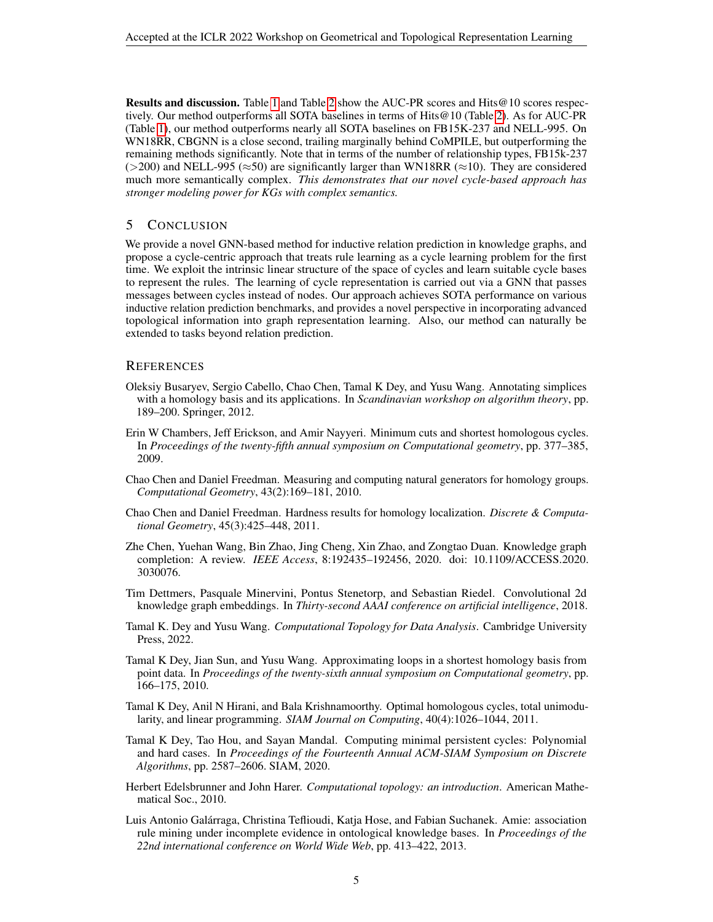Results and discussion. Table [1](#page-3-0) and Table [2](#page-3-1) show the AUC-PR scores and Hits@10 scores respectively. Our method outperforms all SOTA baselines in terms of Hits@10 (Table [2\)](#page-3-1). As for AUC-PR (Table [1\)](#page-3-0), our method outperforms nearly all SOTA baselines on FB15K-237 and NELL-995. On WN18RR, CBGNN is a close second, trailing marginally behind CoMPILE, but outperforming the remaining methods significantly. Note that in terms of the number of relationship types, FB15k-237 ( $>200$ ) and NELL-995 ( $\approx$ 50) are significantly larger than WN18RR ( $\approx$ 10). They are considered much more semantically complex. *This demonstrates that our novel cycle-based approach has stronger modeling power for KGs with complex semantics.*

### 5 CONCLUSION

We provide a novel GNN-based method for inductive relation prediction in knowledge graphs, and propose a cycle-centric approach that treats rule learning as a cycle learning problem for the first time. We exploit the intrinsic linear structure of the space of cycles and learn suitable cycle bases to represent the rules. The learning of cycle representation is carried out via a GNN that passes messages between cycles instead of nodes. Our approach achieves SOTA performance on various inductive relation prediction benchmarks, and provides a novel perspective in incorporating advanced topological information into graph representation learning. Also, our method can naturally be extended to tasks beyond relation prediction.

#### **REFERENCES**

- <span id="page-4-5"></span>Oleksiy Busaryev, Sergio Cabello, Chao Chen, Tamal K Dey, and Yusu Wang. Annotating simplices with a homology basis and its applications. In *Scandinavian workshop on algorithm theory*, pp. 189–200. Springer, 2012.
- <span id="page-4-2"></span>Erin W Chambers, Jeff Erickson, and Amir Nayyeri. Minimum cuts and shortest homologous cycles. In *Proceedings of the twenty-fifth annual symposium on Computational geometry*, pp. 377–385, 2009.
- <span id="page-4-9"></span>Chao Chen and Daniel Freedman. Measuring and computing natural generators for homology groups. *Computational Geometry*, 43(2):169–181, 2010.
- <span id="page-4-3"></span>Chao Chen and Daniel Freedman. Hardness results for homology localization. *Discrete & Computational Geometry*, 45(3):425–448, 2011.
- <span id="page-4-0"></span>Zhe Chen, Yuehan Wang, Bin Zhao, Jing Cheng, Xin Zhao, and Zongtao Duan. Knowledge graph completion: A review. *IEEE Access*, 8:192435–192456, 2020. doi: 10.1109/ACCESS.2020. 3030076.
- <span id="page-4-11"></span>Tim Dettmers, Pasquale Minervini, Pontus Stenetorp, and Sebastian Riedel. Convolutional 2d knowledge graph embeddings. In *Thirty-second AAAI conference on artificial intelligence*, 2018.
- <span id="page-4-7"></span>Tamal K. Dey and Yusu Wang. *Computational Topology for Data Analysis*. Cambridge University Press, 2022.
- <span id="page-4-6"></span>Tamal K Dey, Jian Sun, and Yusu Wang. Approximating loops in a shortest homology basis from point data. In *Proceedings of the twenty-sixth annual symposium on Computational geometry*, pp. 166–175, 2010.
- <span id="page-4-4"></span>Tamal K Dey, Anil N Hirani, and Bala Krishnamoorthy. Optimal homologous cycles, total unimodularity, and linear programming. *SIAM Journal on Computing*, 40(4):1026–1044, 2011.
- <span id="page-4-8"></span>Tamal K Dey, Tao Hou, and Sayan Mandal. Computing minimal persistent cycles: Polynomial and hard cases. In *Proceedings of the Fourteenth Annual ACM-SIAM Symposium on Discrete Algorithms*, pp. 2587–2606. SIAM, 2020.
- <span id="page-4-10"></span>Herbert Edelsbrunner and John Harer. *Computational topology: an introduction*. American Mathematical Soc., 2010.
- <span id="page-4-1"></span>Luis Antonio Galarraga, Christina Teflioudi, Katja Hose, and Fabian Suchanek. Amie: association ´ rule mining under incomplete evidence in ontological knowledge bases. In *Proceedings of the 22nd international conference on World Wide Web*, pp. 413–422, 2013.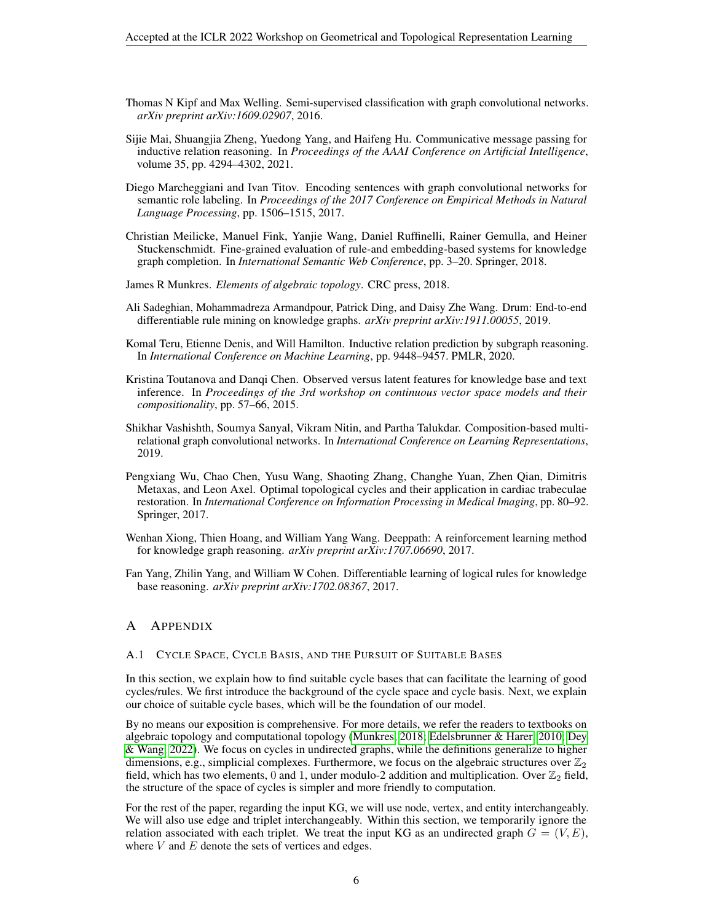- <span id="page-5-10"></span>Thomas N Kipf and Max Welling. Semi-supervised classification with graph convolutional networks. *arXiv preprint arXiv:1609.02907*, 2016.
- <span id="page-5-5"></span>Sijie Mai, Shuangjia Zheng, Yuedong Yang, and Haifeng Hu. Communicative message passing for inductive relation reasoning. In *Proceedings of the AAAI Conference on Artificial Intelligence*, volume 35, pp. 4294–4302, 2021.
- <span id="page-5-8"></span>Diego Marcheggiani and Ivan Titov. Encoding sentences with graph convolutional networks for semantic role labeling. In *Proceedings of the 2017 Conference on Empirical Methods in Natural Language Processing*, pp. 1506–1515, 2017.
- <span id="page-5-3"></span>Christian Meilicke, Manuel Fink, Yanjie Wang, Daniel Ruffinelli, Rainer Gemulla, and Heiner Stuckenschmidt. Fine-grained evaluation of rule-and embedding-based systems for knowledge graph completion. In *International Semantic Web Conference*, pp. 3–20. Springer, 2018.
- <span id="page-5-7"></span>James R Munkres. *Elements of algebraic topology*. CRC press, 2018.
- <span id="page-5-1"></span>Ali Sadeghian, Mohammadreza Armandpour, Patrick Ding, and Daisy Zhe Wang. Drum: End-to-end differentiable rule mining on knowledge graphs. *arXiv preprint arXiv:1911.00055*, 2019.
- <span id="page-5-2"></span>Komal Teru, Etienne Denis, and Will Hamilton. Inductive relation prediction by subgraph reasoning. In *International Conference on Machine Learning*, pp. 9448–9457. PMLR, 2020.
- <span id="page-5-11"></span>Kristina Toutanova and Danqi Chen. Observed versus latent features for knowledge base and text inference. In *Proceedings of the 3rd workshop on continuous vector space models and their compositionality*, pp. 57–66, 2015.
- <span id="page-5-9"></span>Shikhar Vashishth, Soumya Sanyal, Vikram Nitin, and Partha Talukdar. Composition-based multirelational graph convolutional networks. In *International Conference on Learning Representations*, 2019.
- <span id="page-5-4"></span>Pengxiang Wu, Chao Chen, Yusu Wang, Shaoting Zhang, Changhe Yuan, Zhen Qian, Dimitris Metaxas, and Leon Axel. Optimal topological cycles and their application in cardiac trabeculae restoration. In *International Conference on Information Processing in Medical Imaging*, pp. 80–92. Springer, 2017.
- <span id="page-5-12"></span>Wenhan Xiong, Thien Hoang, and William Yang Wang. Deeppath: A reinforcement learning method for knowledge graph reasoning. *arXiv preprint arXiv:1707.06690*, 2017.
- <span id="page-5-0"></span>Fan Yang, Zhilin Yang, and William W Cohen. Differentiable learning of logical rules for knowledge base reasoning. *arXiv preprint arXiv:1702.08367*, 2017.

#### A APPENDIX

#### <span id="page-5-6"></span>A.1 CYCLE SPACE, CYCLE BASIS, AND THE PURSUIT OF SUITABLE BASES

In this section, we explain how to find suitable cycle bases that can facilitate the learning of good cycles/rules. We first introduce the background of the cycle space and cycle basis. Next, we explain our choice of suitable cycle bases, which will be the foundation of our model.

By no means our exposition is comprehensive. For more details, we refer the readers to textbooks on algebraic topology and computational topology [\(Munkres, 2018;](#page-5-7) [Edelsbrunner & Harer, 2010;](#page-4-10) [Dey](#page-4-7) [& Wang, 2022\)](#page-4-7). We focus on cycles in undirected graphs, while the definitions generalize to higher dimensions, e.g., simplicial complexes. Furthermore, we focus on the algebraic structures over  $\mathbb{Z}_2$ field, which has two elements, 0 and 1, under modulo-2 addition and multiplication. Over  $\mathbb{Z}_2$  field, the structure of the space of cycles is simpler and more friendly to computation.

For the rest of the paper, regarding the input KG, we will use node, vertex, and entity interchangeably. We will also use edge and triplet interchangeably. Within this section, we temporarily ignore the relation associated with each triplet. We treat the input KG as an undirected graph  $G = (V, E)$ , where  $V$  and  $E$  denote the sets of vertices and edges.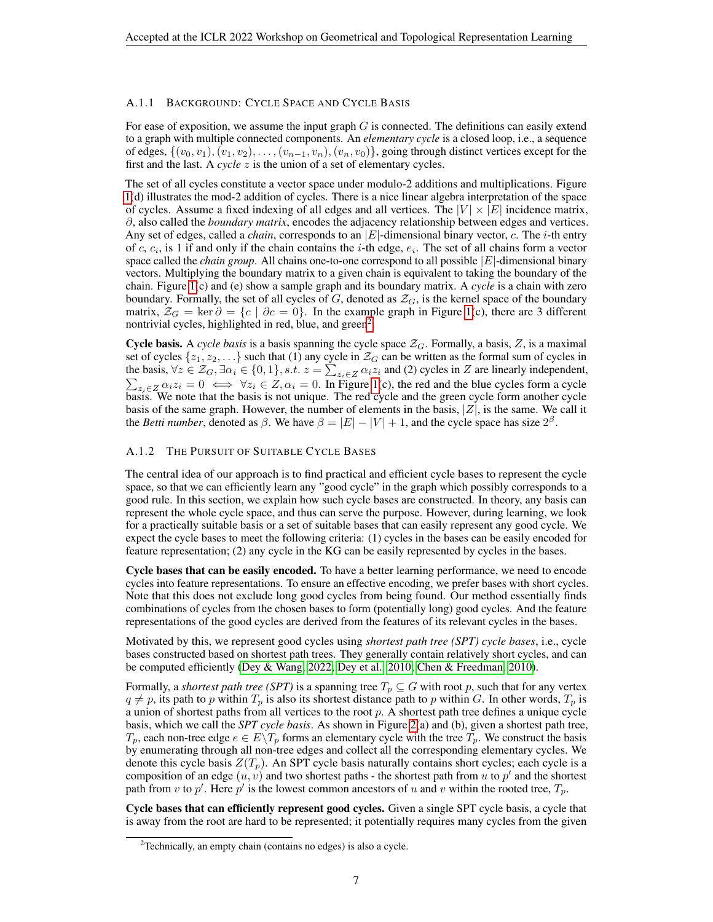## A.1.1 BACKGROUND: CYCLE SPACE AND CYCLE BASIS

For ease of exposition, we assume the input graph  $G$  is connected. The definitions can easily extend to a graph with multiple connected components. An *elementary cycle* is a closed loop, i.e., a sequence of edges,  $\{(v_0, v_1), (v_1, v_2), \ldots, (v_{n-1}, v_n), (v_n, v_0)\}$ , going through distinct vertices except for the first and the last. A *cycle* z is the union of a set of elementary cycles.

The set of all cycles constitute a vector space under modulo-2 additions and multiplications. Figure [1\(](#page-1-0)d) illustrates the mod-2 addition of cycles. There is a nice linear algebra interpretation of the space of cycles. Assume a fixed indexing of all edges and all vertices. The  $|V| \times |E|$  incidence matrix, ∂, also called the *boundary matrix*, encodes the adjacency relationship between edges and vertices. Any set of edges, called a *chain*, corresponds to an |E|-dimensional binary vector, c. The *i*-th entry of c,  $c_i$ , is 1 if and only if the chain contains the *i*-th edge,  $e_i$ . The set of all chains form a vector space called the *chain group*. All chains one-to-one correspond to all possible  $|E|$ -dimensional binary vectors. Multiplying the boundary matrix to a given chain is equivalent to taking the boundary of the chain. Figure [1\(](#page-1-0)c) and (e) show a sample graph and its boundary matrix. A *cycle* is a chain with zero boundary. Formally, the set of all cycles of  $G$ , denoted as  $\mathcal{Z}_G$ , is the kernel space of the boundary matrix,  $\mathcal{Z}_G = \ker \partial = \{c \mid \partial c = 0\}$ . In the example graph in Figure [1\(](#page-1-0)c), there are 3 different nontrivial cycles, highlighted in red, blue, and green<sup>[2](#page-6-0)</sup>.

Cycle basis. A *cycle basis* is a basis spanning the cycle space  $Z_G$ . Formally, a basis, Z, is a maximal set of cycles  $\{z_1, z_2, \ldots\}$  such that (1) any cycle in  $\mathcal{Z}_G$  can be written as the formal sum of cycles in the basis,  $\forall z \in \mathcal{Z}_G, \exists \alpha_i \in \{0, 1\}, s.t. \ z = \sum_{z_i \in Z} \alpha_i z_i$  and (2) cycles in Z are linearly independent,<br>  $\sum_{z_i \in Z} \alpha_i z_i = 0 \iff \forall z_i \in Z, \alpha_i = 0$ . In Figure 1(c), the red and the blue cycles form a cycle  $\sum_{z_i \in Z} \alpha_i z_i = 0 \iff \forall z_i \in Z, \alpha_i = 0$ . In Figure [1\(](#page-1-0)c), the red and the blue cycles form a cycle basis. We note that the basis is not unique. The red cycle and the green cycle form another cycle basis of the same graph. However, the number of elements in the basis,  $|Z|$ , is the same. We call it the *Betti number*, denoted as  $\beta$ . We have  $\beta = |E| - |V| + 1$ , and the cycle space has size  $2^{\beta}$ .

## <span id="page-6-1"></span>A.1.2 THE PURSUIT OF SUITABLE CYCLE BASES

The central idea of our approach is to find practical and efficient cycle bases to represent the cycle space, so that we can efficiently learn any "good cycle" in the graph which possibly corresponds to a good rule. In this section, we explain how such cycle bases are constructed. In theory, any basis can represent the whole cycle space, and thus can serve the purpose. However, during learning, we look for a practically suitable basis or a set of suitable bases that can easily represent any good cycle. We expect the cycle bases to meet the following criteria: (1) cycles in the bases can be easily encoded for feature representation; (2) any cycle in the KG can be easily represented by cycles in the bases.

Cycle bases that can be easily encoded. To have a better learning performance, we need to encode cycles into feature representations. To ensure an effective encoding, we prefer bases with short cycles. Note that this does not exclude long good cycles from being found. Our method essentially finds combinations of cycles from the chosen bases to form (potentially long) good cycles. And the feature representations of the good cycles are derived from the features of its relevant cycles in the bases.

Motivated by this, we represent good cycles using *shortest path tree (SPT) cycle bases*, i.e., cycle bases constructed based on shortest path trees. They generally contain relatively short cycles, and can be computed efficiently [\(Dey & Wang, 2022;](#page-4-7) [Dey et al., 2010;](#page-4-6) [Chen & Freedman, 2010\)](#page-4-9).

Formally, a *shortest path tree (SPT)* is a spanning tree  $T_p \subseteq G$  with root p, such that for any vertex  $q \neq p$ , its path to p within  $T_p$  is also its shortest distance path to p within G. In other words,  $T_p$  is a union of shortest paths from all vertices to the root p. A shortest path tree defines a unique cycle basis, which we call the *SPT cycle basis*. As shown in Figure [2\(](#page-2-0)a) and (b), given a shortest path tree,  $T_p$ , each non-tree edge  $e \in E\backslash T_p$  forms an elementary cycle with the tree  $T_p$ . We construct the basis by enumerating through all non-tree edges and collect all the corresponding elementary cycles. We denote this cycle basis  $Z(T_p)$ . An SPT cycle basis naturally contains short cycles; each cycle is a composition of an edge  $(u, v)$  and two shortest paths - the shortest path from u to p' and the shortest path from v to p'. Here p' is the lowest common ancestors of u and v within the rooted tree,  $T_p$ .

Cycle bases that can efficiently represent good cycles. Given a single SPT cycle basis, a cycle that is away from the root are hard to be represented; it potentially requires many cycles from the given

<span id="page-6-0"></span><sup>&</sup>lt;sup>2</sup>Technically, an empty chain (contains no edges) is also a cycle.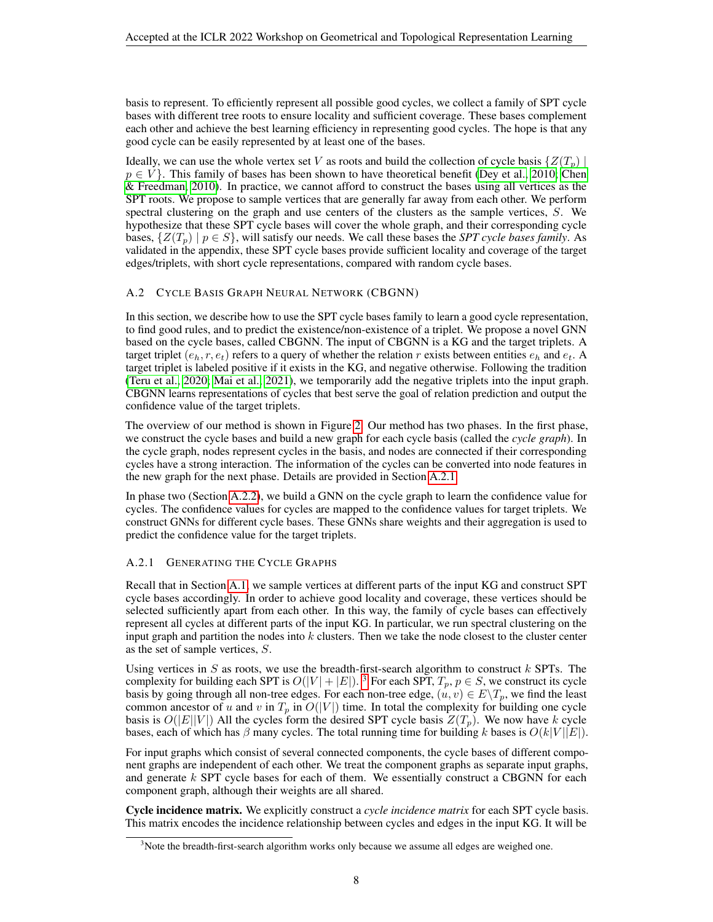basis to represent. To efficiently represent all possible good cycles, we collect a family of SPT cycle bases with different tree roots to ensure locality and sufficient coverage. These bases complement each other and achieve the best learning efficiency in representing good cycles. The hope is that any good cycle can be easily represented by at least one of the bases.

Ideally, we can use the whole vertex set V as roots and build the collection of cycle basis  $\{Z(T_n)$  $p \in V$ . This family of bases has been shown to have theoretical benefit [\(Dey et al., 2010;](#page-4-6) [Chen](#page-4-9) [& Freedman, 2010\)](#page-4-9). In practice, we cannot afford to construct the bases using all vertices as the SPT roots. We propose to sample vertices that are generally far away from each other. We perform spectral clustering on the graph and use centers of the clusters as the sample vertices,  $S$ . We hypothesize that these SPT cycle bases will cover the whole graph, and their corresponding cycle bases,  $\{Z(T_n) \mid p \in S\}$ , will satisfy our needs. We call these bases the *SPT cycle bases family*. As validated in the appendix, these SPT cycle bases provide sufficient locality and coverage of the target edges/triplets, with short cycle representations, compared with random cycle bases.

## <span id="page-7-0"></span>A.2 CYCLE BASIS GRAPH NEURAL NETWORK (CBGNN)

In this section, we describe how to use the SPT cycle bases family to learn a good cycle representation, to find good rules, and to predict the existence/non-existence of a triplet. We propose a novel GNN based on the cycle bases, called CBGNN. The input of CBGNN is a KG and the target triplets. A target triplet  $(e_h, r, e_t)$  refers to a query of whether the relation r exists between entities  $e_h$  and  $e_t$ . A target triplet is labeled positive if it exists in the KG, and negative otherwise. Following the tradition [\(Teru et al., 2020;](#page-5-2) [Mai et al., 2021\)](#page-5-5), we temporarily add the negative triplets into the input graph. CBGNN learns representations of cycles that best serve the goal of relation prediction and output the confidence value of the target triplets.

The overview of our method is shown in Figure [2.](#page-2-0) Our method has two phases. In the first phase, we construct the cycle bases and build a new graph for each cycle basis (called the *cycle graph*). In the cycle graph, nodes represent cycles in the basis, and nodes are connected if their corresponding cycles have a strong interaction. The information of the cycles can be converted into node features in the new graph for the next phase. Details are provided in Section [A.2.1.](#page-7-1)

In phase two (Section [A.2.2\)](#page-8-0), we build a GNN on the cycle graph to learn the confidence value for cycles. The confidence values for cycles are mapped to the confidence values for target triplets. We construct GNNs for different cycle bases. These GNNs share weights and their aggregation is used to predict the confidence value for the target triplets.

#### <span id="page-7-1"></span>A.2.1 GENERATING THE CYCLE GRAPHS

Recall that in Section [A.1,](#page-5-6) we sample vertices at different parts of the input KG and construct SPT cycle bases accordingly. In order to achieve good locality and coverage, these vertices should be selected sufficiently apart from each other. In this way, the family of cycle bases can effectively represent all cycles at different parts of the input KG. In particular, we run spectral clustering on the input graph and partition the nodes into  $k$  clusters. Then we take the node closest to the cluster center as the set of sample vertices, S.

Using vertices in S as roots, we use the breadth-first-search algorithm to construct  $k$  SPTs. The complexity for building each SPT is  $O(|V| + |E|)$ . <sup>[3](#page-7-2)</sup> For each SPT,  $T_p$ ,  $p \in S$ , we construct its cycle basis by going through all non-tree edges. For each non-tree edge,  $(u, v) \in E \setminus T_p$ , we find the least common ancestor of u and v in  $T_p$  in  $O(|V|)$  time. In total the complexity for building one cycle basis is  $O(|E||V|)$  All the cycles form the desired SPT cycle basis  $Z(T_p)$ . We now have k cycle bases, each of which has  $\beta$  many cycles. The total running time for building k bases is  $O(k|V||E|)$ .

For input graphs which consist of several connected components, the cycle bases of different component graphs are independent of each other. We treat the component graphs as separate input graphs, and generate  $k$  SPT cycle bases for each of them. We essentially construct a CBGNN for each component graph, although their weights are all shared.

Cycle incidence matrix. We explicitly construct a *cycle incidence matrix* for each SPT cycle basis. This matrix encodes the incidence relationship between cycles and edges in the input KG. It will be

<span id="page-7-2"></span><sup>&</sup>lt;sup>3</sup>Note the breadth-first-search algorithm works only because we assume all edges are weighed one.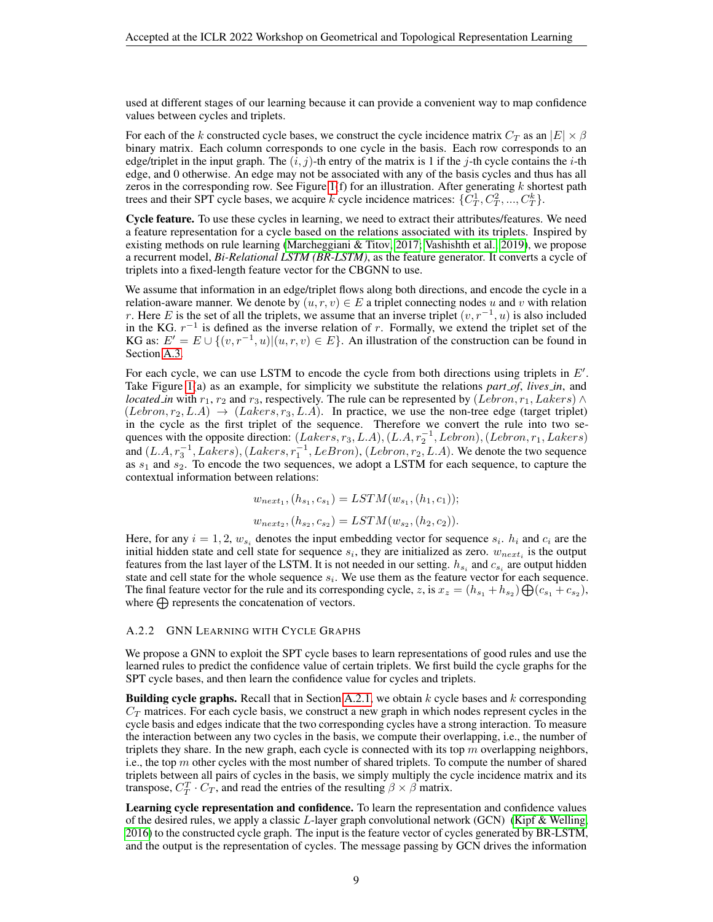used at different stages of our learning because it can provide a convenient way to map confidence values between cycles and triplets.

For each of the k constructed cycle bases, we construct the cycle incidence matrix  $C_T$  as an  $|E| \times \beta$ binary matrix. Each column corresponds to one cycle in the basis. Each row corresponds to an edge/triplet in the input graph. The  $(i, j)$ -th entry of the matrix is 1 if the j-th cycle contains the i-th edge, and 0 otherwise. An edge may not be associated with any of the basis cycles and thus has all zeros in the corresponding row. See Figure [1\(](#page-1-0)f) for an illustration. After generating  $k$  shortest path trees and their SPT cycle bases, we acquire k cycle incidence matrices:  $\{C_T^1, C_T^2, ..., C_T^k\}$ .

Cycle feature. To use these cycles in learning, we need to extract their attributes/features. We need a feature representation for a cycle based on the relations associated with its triplets. Inspired by existing methods on rule learning [\(Marcheggiani & Titov, 2017;](#page-5-8) [Vashishth et al., 2019\)](#page-5-9), we propose a recurrent model, *Bi-Relational LSTM (BR-LSTM)*, as the feature generator. It converts a cycle of triplets into a fixed-length feature vector for the CBGNN to use.

We assume that information in an edge/triplet flows along both directions, and encode the cycle in a relation-aware manner. We denote by  $(u, r, v) \in E$  a triplet connecting nodes u and v with relation r. Here E is the set of all the triplets, we assume that an inverse triplet  $(v, r^{-1}, u)$  is also included in the KG.  $r^{-1}$  is defined as the inverse relation of r. Formally, we extend the triplet set of the KG as:  $E' = E \cup \{(v, r^{-1}, u) | (u, r, v) \in E\}$ . An illustration of the construction can be found in Section [A.3.](#page-9-0)

For each cycle, we can use LSTM to encode the cycle from both directions using triplets in  $E'$ . Take Figure [1\(](#page-1-0)a) as an example, for simplicity we substitute the relations *part of*, *lives in*, and *located in* with  $r_1$ ,  $r_2$  and  $r_3$ , respectively. The rule can be represented by (Lebron,  $r_1$ , Lakers) ∧  $(Lebron, r_2, L.A) \rightarrow (Lakers, r_3, L.A)$ . In practice, we use the non-tree edge (target triplet) in the cycle as the first triplet of the sequence. Therefore we convert the rule into two sequences with the opposite direction:  $(Lakers, r_3, L.A), (L.A, r_2^{-1}, Lebron), (Lebron, r_1, Lakers)$ and  $(L.A, r_3^{-1}, Lakers), (Lakers, r_1^{-1}, Le Bron), (Lebron, r_2, L.A)$ . We denote the two sequence as  $s_1$  and  $s_2$ . To encode the two sequences, we adopt a LSTM for each sequence, to capture the contextual information between relations:

$$
w_{next_1}, (h_{s_1}, c_{s_1}) = LSTM(w_{s_1}, (h_1, c_1));
$$
  

$$
w_{next_2}, (h_{s_2}, c_{s_2}) = LSTM(w_{s_2}, (h_2, c_2)).
$$

Here, for any  $i = 1, 2, w_{s_i}$  denotes the input embedding vector for sequence  $s_i$ .  $h_i$  and  $c_i$  are the initial hidden state and cell state for sequence  $s_i$ , they are initialized as zero.  $w_{next_i}$  is the output features from the last layer of the LSTM. It is not needed in our setting.  $h_{s_i}$  and  $c_{s_i}$  are output hidden state and cell state for the whole sequence  $s_i$ . We use them as the feature vector for each sequence. The final feature vector for the rule and its corresponding cycle, z, is  $x_z = (h_{s_1} + h_{s_2}) \bigoplus (c_{s_1} + c_{s_2})$ , where  $\bigoplus$  represents the concatenation of vectors.

#### <span id="page-8-0"></span>A.2.2 GNN LEARNING WITH CYCLE GRAPHS

We propose a GNN to exploit the SPT cycle bases to learn representations of good rules and use the learned rules to predict the confidence value of certain triplets. We first build the cycle graphs for the SPT cycle bases, and then learn the confidence value for cycles and triplets.

**Building cycle graphs.** Recall that in Section [A.2.1,](#page-7-1) we obtain k cycle bases and k corresponding  $C_T$  matrices. For each cycle basis, we construct a new graph in which nodes represent cycles in the cycle basis and edges indicate that the two corresponding cycles have a strong interaction. To measure the interaction between any two cycles in the basis, we compute their overlapping, i.e., the number of triplets they share. In the new graph, each cycle is connected with its top  $m$  overlapping neighbors, i.e., the top  $m$  other cycles with the most number of shared triplets. To compute the number of shared triplets between all pairs of cycles in the basis, we simply multiply the cycle incidence matrix and its transpose,  $C_T^T \cdot C_T$ , and read the entries of the resulting  $\beta \times \beta$  matrix.

Learning cycle representation and confidence. To learn the representation and confidence values of the desired rules, we apply a classic  $L$ -layer graph convolutional network (GCN) (Kipf  $\&$  Welling, [2016\)](#page-5-10) to the constructed cycle graph. The input is the feature vector of cycles generated by BR-LSTM, and the output is the representation of cycles. The message passing by GCN drives the information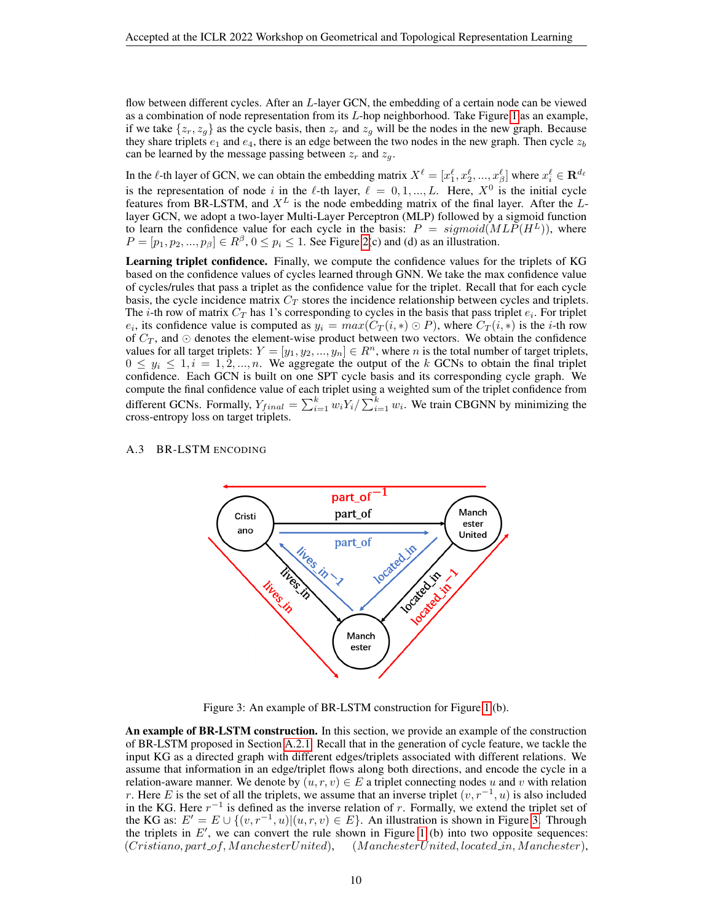flow between different cycles. After an L-layer GCN, the embedding of a certain node can be viewed as a combination of node representation from its L-hop neighborhood. Take Figure [1](#page-1-0) as an example, if we take  $\{z_r, z_g\}$  as the cycle basis, then  $z_r$  and  $z_g$  will be the nodes in the new graph. Because they share triplets  $e_1$  and  $e_4$ , there is an edge between the two nodes in the new graph. Then cycle  $z_b$ can be learned by the message passing between  $z_r$  and  $z_q$ .

In the  $\ell$ -th layer of GCN, we can obtain the embedding matrix  $X^{\ell} = [x_1^{\ell}, x_2^{\ell}, ..., x_{\beta}^{\ell}]$  where  $x_i^{\ell} \in \mathbf{R}^{d_{\ell}}$ is the representation of node i in the  $\ell$ -th layer,  $\ell = 0, 1, ..., L$ . Here,  $X^0$  is the initial cycle features from BR-LSTM, and  $X^L$  is the node embedding matrix of the final layer. After the Llayer GCN, we adopt a two-layer Multi-Layer Perceptron (MLP) followed by a sigmoid function to learn the confidence value for each cycle in the basis:  $P = sigmoid(MLP(H^L))$ , where  $P = [p_1, p_2, ..., p_\beta] \in R^\beta$ ,  $0 \le p_i \le 1$ . See Figure [2\(](#page-2-0)c) and (d) as an illustration.

Learning triplet confidence. Finally, we compute the confidence values for the triplets of KG based on the confidence values of cycles learned through GNN. We take the max confidence value of cycles/rules that pass a triplet as the confidence value for the triplet. Recall that for each cycle basis, the cycle incidence matrix  $C_T$  stores the incidence relationship between cycles and triplets. The *i*-th row of matrix  $C_T$  has 1's corresponding to cycles in the basis that pass triplet  $e_i$ . For triplet  $e_i$ , its confidence value is computed as  $y_i = max(C_T(i, *) \odot P)$ , where  $C_T(i, *)$  is the *i*-th row of  $C_T$ , and ⊙ denotes the element-wise product between two vectors. We obtain the confidence values for all target triplets:  $Y = [y_1, y_2, ..., y_n] \in \mathbb{R}^n$ , where n is the total number of target triplets,  $0 \leq y_i \leq 1, i = 1, 2, ..., n$ . We aggregate the output of the k GCNs to obtain the final triplet confidence. Each GCN is built on one SPT cycle basis and its corresponding cycle graph. We compute the final confidence value of each triplet using a weighted sum of the triplet confidence from different GCNs. Formally,  $Y_{final} = \sum_{i=1}^{k} w_i Y_i / \sum_{i=1}^{k} w_i$ . We train CBGNN by minimizing the cross-entropy loss on target triplets.

#### <span id="page-9-0"></span>A.3 BR-LSTM ENCODING



<span id="page-9-1"></span>Figure 3: An example of BR-LSTM construction for Figure [1](#page-1-0) (b).

An example of BR-LSTM construction. In this section, we provide an example of the construction of BR-LSTM proposed in Section [A.2.1.](#page-7-1) Recall that in the generation of cycle feature, we tackle the input KG as a directed graph with different edges/triplets associated with different relations. We assume that information in an edge/triplet flows along both directions, and encode the cycle in a relation-aware manner. We denote by  $(u, r, v) \in E$  a triplet connecting nodes u and v with relation r. Here E is the set of all the triplets, we assume that an inverse triplet  $(v, r^{-1}, u)$  is also included in the KG. Here  $r^{-1}$  is defined as the inverse relation of r. Formally, we extend the triplet set of the KG as:  $E' = E \cup \{(v, r^{-1}, u) | (u, r, v) \in E\}$ . An illustration is shown in Figure [3.](#page-9-1) Through the triplets in  $E'$ , we can convert the rule shown in Figure [1](#page-1-0) (b) into two opposite sequences: (Cristiano, part of, M anchesterUnited), (M anchesterUnited, located in, M anchester),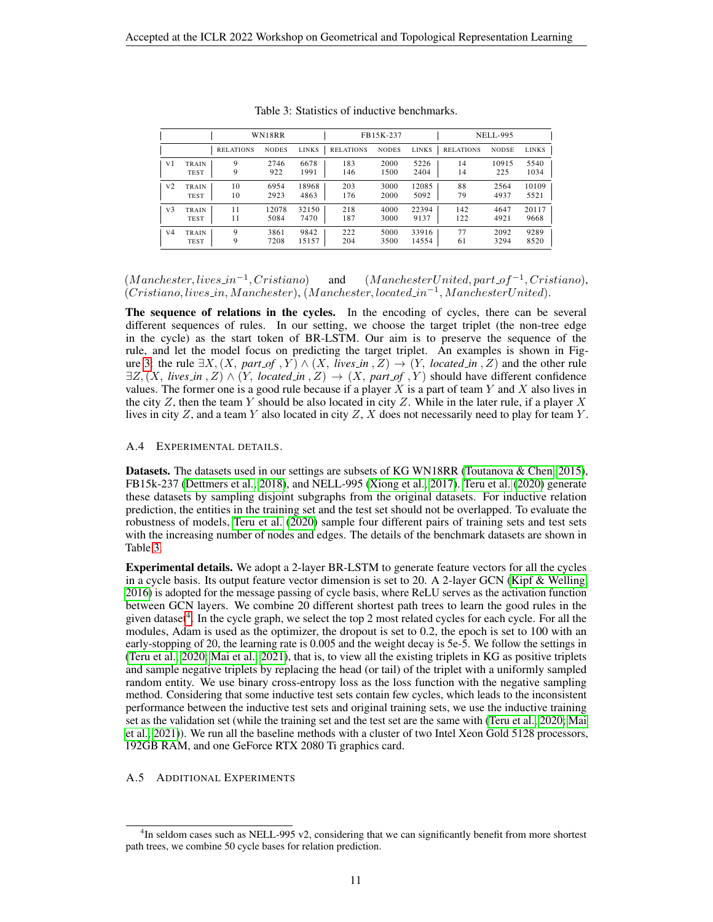|                |             |                  | WN18RR       |              |                  | FB15K-237    |              | <b>NELL-995</b>  |              |              |  |
|----------------|-------------|------------------|--------------|--------------|------------------|--------------|--------------|------------------|--------------|--------------|--|
|                |             | <b>RELATIONS</b> | <b>NODES</b> | <b>LINKS</b> | <b>RELATIONS</b> | <b>NODES</b> | <b>LINKS</b> | <b>RELATIONS</b> | <b>NODSE</b> | <b>LINKS</b> |  |
| V1             | TRAIN       | 9                | 2746         | 6678         | 183              | 2000         | 5226         | 14               | 10915        | 5540         |  |
|                | <b>TEST</b> | 9                | 922          | 1991         | 146              | 1500         | 2404         | 14               | 225          | 1034         |  |
| V <sub>2</sub> | TRAIN       | 10               | 6954         | 18968        | 203              | 3000         | 12085        | 88               | 2564         | 10109        |  |
|                | <b>TEST</b> | 10               | 2923         | 4863         | 176              | 2000         | 5092         | 79               | 4937         | 5521         |  |
| V <sub>3</sub> | TRAIN       | 11               | 12078        | 32150        | 218              | 4000         | 22394        | 142              | 4647         | 20117        |  |
|                | <b>TEST</b> | 11               | 5084         | 7470         | 187              | 3000         | 9137         | 122              | 4921         | 9668         |  |
| V <sub>4</sub> | TRAIN       | 9                | 3861         | 9842         | 222              | 5000         | 33916        | 77               | 2092         | 9289         |  |
|                | <b>TEST</b> | 9                | 7208         | 15157        | 204              | 3500         | 14554        | 61               | 3294         | 8520         |  |

<span id="page-10-0"></span>Table 3: Statistics of inductive benchmarks.

 $(M$ anchester, lives\_in<sup>-1</sup>, Cristiano)  $, Cristiano)$  and  $(ManchesterUnited, part_of^{-1}, Cristiano),$ (Cristiano, lives in, M anchester), (M anchester, located in−<sup>1</sup> , M anchesterUnited).

The sequence of relations in the cycles. In the encoding of cycles, there can be several different sequences of rules. In our setting, we choose the target triplet (the non-tree edge in the cycle) as the start token of BR-LSTM. Our aim is to preserve the sequence of the rule, and let the model focus on predicting the target triplet. An examples is shown in Fig-ure [3:](#page-9-1) the rule  $\exists X, (X, part\_of, Y) \land (X, lives\_in, Z) \rightarrow (Y, located\_in, Z)$  and the other rule  $\exists Z, (X, lives.in, Z) \land (Y, located.in, Z) \rightarrow (X, part_of, Y)$  should have different confidence values. The former one is a good rule because if a player  $X$  is a part of team  $Y$  and  $X$  also lives in the city Z, then the team Y should be also located in city Z. While in the later rule, if a player X lives in city  $Z$ , and a team  $Y$  also located in city  $Z$ ,  $X$  does not necessarily need to play for team  $Y$ .

#### A.4 EXPERIMENTAL DETAILS.

Datasets. The datasets used in our settings are subsets of KG WN18RR [\(Toutanova & Chen, 2015\)](#page-5-11), FB15k-237 [\(Dettmers et al., 2018\)](#page-4-11), and NELL-995 [\(Xiong et al., 2017\)](#page-5-12). [Teru et al.](#page-5-2) [\(2020\)](#page-5-2) generate these datasets by sampling disjoint subgraphs from the original datasets. For inductive relation prediction, the entities in the training set and the test set should not be overlapped. To evaluate the robustness of models, [Teru et al.](#page-5-2) [\(2020\)](#page-5-2) sample four different pairs of training sets and test sets with the increasing number of nodes and edges. The details of the benchmark datasets are shown in Table [3.](#page-10-0)

Experimental details. We adopt a 2-layer BR-LSTM to generate feature vectors for all the cycles in a cycle basis. Its output feature vector dimension is set to 20. A 2-layer GCN [\(Kipf & Welling,](#page-5-10) [2016\)](#page-5-10) is adopted for the message passing of cycle basis, where ReLU serves as the activation function between GCN layers. We combine 20 different shortest path trees to learn the good rules in the given dataset<sup>[4](#page-10-1)</sup>. In the cycle graph, we select the top 2 most related cycles for each cycle. For all the modules, Adam is used as the optimizer, the dropout is set to 0.2, the epoch is set to 100 with an early-stopping of 20, the learning rate is 0.005 and the weight decay is 5e-5. We follow the settings in [\(Teru et al., 2020;](#page-5-2) [Mai et al., 2021\)](#page-5-5), that is, to view all the existing triplets in KG as positive triplets and sample negative triplets by replacing the head (or tail) of the triplet with a uniformly sampled random entity. We use binary cross-entropy loss as the loss function with the negative sampling method. Considering that some inductive test sets contain few cycles, which leads to the inconsistent performance between the inductive test sets and original training sets, we use the inductive training set as the validation set (while the training set and the test set are the same with [\(Teru et al., 2020;](#page-5-2) [Mai](#page-5-5) [et al., 2021\)](#page-5-5)). We run all the baseline methods with a cluster of two Intel Xeon Gold 5128 processors, 192GB RAM, and one GeForce RTX 2080 Ti graphics card.

A.5 ADDITIONAL EXPERIMENTS

<span id="page-10-1"></span><sup>&</sup>lt;sup>4</sup>In seldom cases such as NELL-995 v2, considering that we can significantly benefit from more shortest path trees, we combine 50 cycle bases for relation prediction.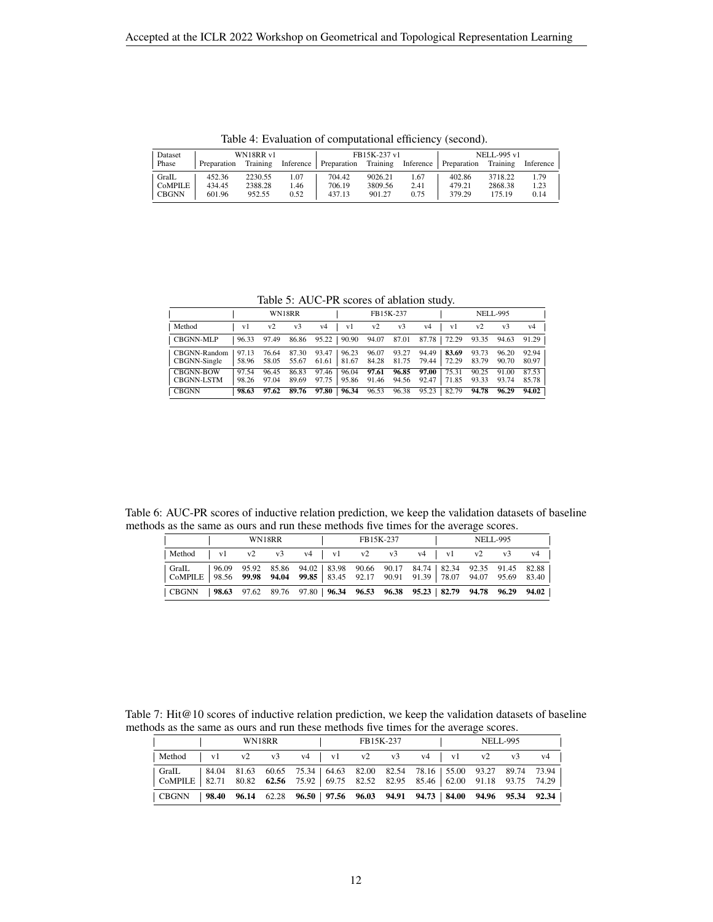| Dataset |             | WN18RR v1 |           |                      | FB15K-237 v1 |      | NELL-995 v1           |          |           |  |
|---------|-------------|-----------|-----------|----------------------|--------------|------|-----------------------|----------|-----------|--|
| Phase   | Preparation | Training  | Inference | Preparation Training |              |      | Inference Preparation | Training | Inference |  |
| GraIL   | 452.36      | 2230.55   | 1.07      | 704.42               | 9026.21      | 1.67 | 402.86                | 3718.22  | 1.79      |  |
| CoMPILE | 434.45      | 2388.28   | 1.46      | 706.19               | 3809.56      | 2.41 | 479.21                | 2868.38  | 1.23      |  |
| CBGNN   | 601.96      | 952.55    | 0.52      | 437.13               | 901.27       | 0.75 | 379.29                | 175.19   | 0.14      |  |

<span id="page-11-0"></span>Table 4: Evaluation of computational efficiency (second).

<span id="page-11-1"></span>Table 5: AUC-PR scores of ablation study.

|                                       | WN18RR         |                |                |                                                                          | <b>NELL-995</b> |                |                   |                |                |                |
|---------------------------------------|----------------|----------------|----------------|--------------------------------------------------------------------------|-----------------|----------------|-------------------|----------------|----------------|----------------|
| Method                                | v1             | v2             | v <sub>3</sub> | v4<br>v1                                                                 | v2              | v <sub>3</sub> | v4<br>v1          | v2             | v <sub>3</sub> | v4             |
| <b>CBGNN-MLP</b>                      | 96.33          | 97.49          |                | 86.86 95.22 90.90 94.07 87.01 87.78 72.29 93.35 94.63                    |                 |                |                   |                |                | 91.29          |
| CBGNN-Random<br>CBGNN-Single          | 97.13<br>58.96 | 76.64<br>58.05 | 87.30<br>55.67 | $93.47 \pm 96.23$<br>$61.61$   81.67 84.28 81.75 79.44   72.29           | 96.07           | 93.27          | $94.49 \pm 83.69$ | 93.73<br>83.79 | 96.20<br>90.70 | 92.94<br>80.97 |
| <b>CBGNN-BOW</b><br><b>CBGNN-LSTM</b> | 97.54<br>98.26 | 96.45<br>97.04 | 86.83<br>89.69 | $97.46 \pm 96.04$ 97.61<br>97.75   95.86 91.46 94.56 92.47   71.85 93.33 |                 | 96.85          | 97.00<br>75.31    | 90.25          | 91.00<br>93.74 | 87.53<br>85.78 |
| <b>CBGNN</b>                          | 98.63          | 97.62          |                | 89.76 97.80 96.34                                                        | 96.53           |                | 96.38 95.23 82.79 | 94.78          | 96.29          | 94.02          |

Table 6: AUC-PR scores of inductive relation prediction, we keep the validation datasets of baseline methods as the same as ours and run these methods five times for the average scores.

<span id="page-11-2"></span>

| WN18RR |  |  | FB15K-237                                                                                                                                                                              |  | <b>NELL-995</b> |  |  |  |
|--------|--|--|----------------------------------------------------------------------------------------------------------------------------------------------------------------------------------------|--|-----------------|--|--|--|
|        |  |  | Method   v1 v2 v3 v4   v1 v2 v3 v4   v1 v2 v3 v4                                                                                                                                       |  |                 |  |  |  |
|        |  |  | GraIL   96.09 95.92 85.86 94.02   83.98 90.66 90.17 84.74   82.34 92.35 91.45 82.88  <br>$\vert$ CoMPILE   98.56 99.98 94.04 99.85   83.45 92.17 90.91 91.39   78.07 94.07 95.69 83.40 |  |                 |  |  |  |
|        |  |  | $\vert$ CBGNN $\vert$ 98.63 97.62 89.76 97.80 $\vert$ 96.34 96.53 96.38 95.23 $\vert$ 82.79 94.78 96.29 94.02 $\vert$                                                                  |  |                 |  |  |  |

Table 7: Hit@10 scores of inductive relation prediction, we keep the validation datasets of baseline methods as the same as ours and run these methods five times for the average scores.

<span id="page-11-3"></span>

| WN18RR |  |  | FB15K-237                                                                                                                                                                             |  |  |  | <b>NELL-995</b> |  |    |    |
|--------|--|--|---------------------------------------------------------------------------------------------------------------------------------------------------------------------------------------|--|--|--|-----------------|--|----|----|
|        |  |  | Method v1 v2 v3 v4 v1 v2 v3 v4 v1 v2                                                                                                                                                  |  |  |  |                 |  | v3 | v4 |
|        |  |  | GraIL   84.04 81.63 60.65 75.34   64.63 82.00 82.54 78.16   55.00 93.27 89.74 73.94<br>$\text{COMPILE}$   82.71 80.82 62.56 75.92   69.75 82.52 82.95 85.46   62.00 91.18 93.75 74.29 |  |  |  |                 |  |    |    |
|        |  |  | $\vert$ CBGNN $\vert$ 98.40 96.14 62.28 96.50   97.56 96.03 94.91 94.73   84.00 94.96 95.34 92.34                                                                                     |  |  |  |                 |  |    |    |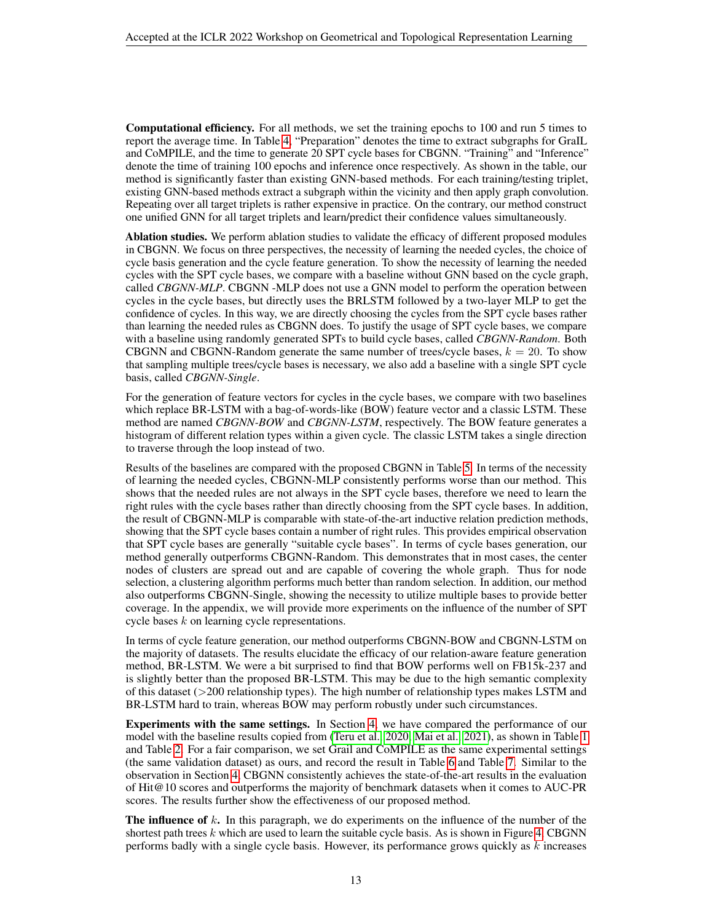Computational efficiency. For all methods, we set the training epochs to 100 and run 5 times to report the average time. In Table [4,](#page-11-0) "Preparation" denotes the time to extract subgraphs for GraIL and CoMPILE, and the time to generate 20 SPT cycle bases for CBGNN. "Training" and "Inference" denote the time of training 100 epochs and inference once respectively. As shown in the table, our method is significantly faster than existing GNN-based methods. For each training/testing triplet, existing GNN-based methods extract a subgraph within the vicinity and then apply graph convolution. Repeating over all target triplets is rather expensive in practice. On the contrary, our method construct one unified GNN for all target triplets and learn/predict their confidence values simultaneously.

Ablation studies. We perform ablation studies to validate the efficacy of different proposed modules in CBGNN. We focus on three perspectives, the necessity of learning the needed cycles, the choice of cycle basis generation and the cycle feature generation. To show the necessity of learning the needed cycles with the SPT cycle bases, we compare with a baseline without GNN based on the cycle graph, called *CBGNN-MLP*. CBGNN -MLP does not use a GNN model to perform the operation between cycles in the cycle bases, but directly uses the BRLSTM followed by a two-layer MLP to get the confidence of cycles. In this way, we are directly choosing the cycles from the SPT cycle bases rather than learning the needed rules as CBGNN does. To justify the usage of SPT cycle bases, we compare with a baseline using randomly generated SPTs to build cycle bases, called *CBGNN-Random*. Both CBGNN and CBGNN-Random generate the same number of trees/cycle bases,  $k = 20$ . To show that sampling multiple trees/cycle bases is necessary, we also add a baseline with a single SPT cycle basis, called *CBGNN-Single*.

For the generation of feature vectors for cycles in the cycle bases, we compare with two baselines which replace BR-LSTM with a bag-of-words-like (BOW) feature vector and a classic LSTM. These method are named *CBGNN-BOW* and *CBGNN-LSTM*, respectively. The BOW feature generates a histogram of different relation types within a given cycle. The classic LSTM takes a single direction to traverse through the loop instead of two.

Results of the baselines are compared with the proposed CBGNN in Table [5.](#page-11-1) In terms of the necessity of learning the needed cycles, CBGNN-MLP consistently performs worse than our method. This shows that the needed rules are not always in the SPT cycle bases, therefore we need to learn the right rules with the cycle bases rather than directly choosing from the SPT cycle bases. In addition, the result of CBGNN-MLP is comparable with state-of-the-art inductive relation prediction methods, showing that the SPT cycle bases contain a number of right rules. This provides empirical observation that SPT cycle bases are generally "suitable cycle bases". In terms of cycle bases generation, our method generally outperforms CBGNN-Random. This demonstrates that in most cases, the center nodes of clusters are spread out and are capable of covering the whole graph. Thus for node selection, a clustering algorithm performs much better than random selection. In addition, our method also outperforms CBGNN-Single, showing the necessity to utilize multiple bases to provide better coverage. In the appendix, we will provide more experiments on the influence of the number of SPT cycle bases  $k$  on learning cycle representations.

In terms of cycle feature generation, our method outperforms CBGNN-BOW and CBGNN-LSTM on the majority of datasets. The results elucidate the efficacy of our relation-aware feature generation method, BR-LSTM. We were a bit surprised to find that BOW performs well on FB15k-237 and is slightly better than the proposed BR-LSTM. This may be due to the high semantic complexity of this dataset (>200 relationship types). The high number of relationship types makes LSTM and BR-LSTM hard to train, whereas BOW may perform robustly under such circumstances.

Experiments with the same settings. In Section [4,](#page-3-2) we have compared the performance of our model with the baseline results copied from [\(Teru et al., 2020;](#page-5-2) [Mai et al., 2021\)](#page-5-5), as shown in Table [1](#page-3-0) and Table [2.](#page-3-1) For a fair comparison, we set Grail and CoMPILE as the same experimental settings (the same validation dataset) as ours, and record the result in Table [6](#page-11-2) and Table [7.](#page-11-3) Similar to the observation in Section [4,](#page-3-2) CBGNN consistently achieves the state-of-the-art results in the evaluation of Hit@10 scores and outperforms the majority of benchmark datasets when it comes to AUC-PR scores. The results further show the effectiveness of our proposed method.

**The influence of k.** In this paragraph, we do experiments on the influence of the number of the shortest path trees  $k$  which are used to learn the suitable cycle basis. As is shown in Figure [4,](#page-13-0) CBGNN performs badly with a single cycle basis. However, its performance grows quickly as  $k$  increases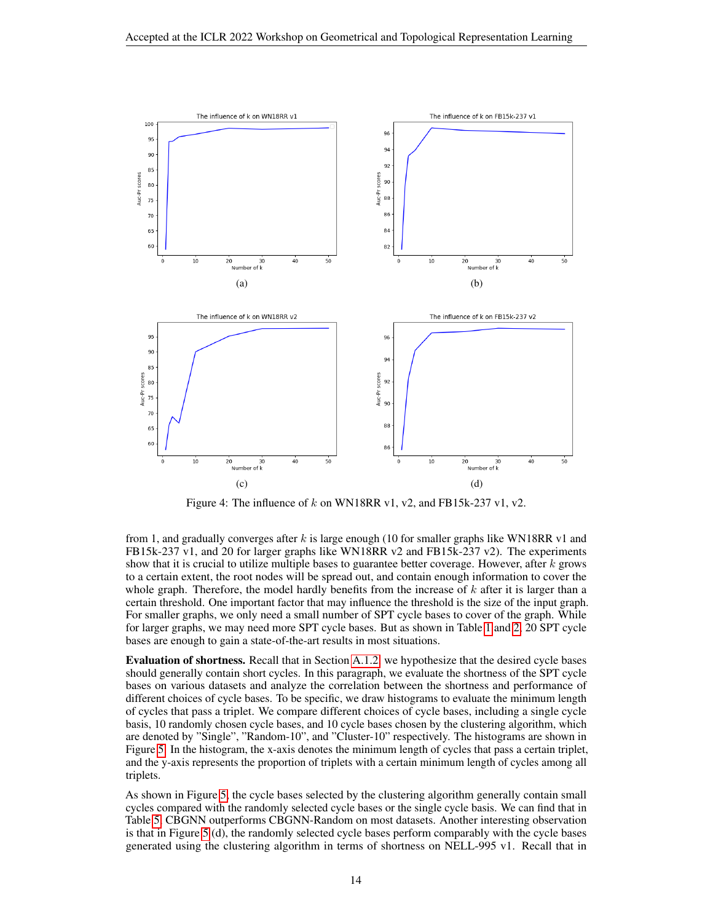

<span id="page-13-0"></span>Figure 4: The influence of k on WN18RR v1, v2, and FB15k-237 v1, v2.

from 1, and gradually converges after  $k$  is large enough (10 for smaller graphs like WN18RR v1 and FB15k-237 v1, and 20 for larger graphs like WN18RR v2 and FB15k-237 v2). The experiments show that it is crucial to utilize multiple bases to guarantee better coverage. However, after  $k$  grows to a certain extent, the root nodes will be spread out, and contain enough information to cover the whole graph. Therefore, the model hardly benefits from the increase of  $k$  after it is larger than a certain threshold. One important factor that may influence the threshold is the size of the input graph. For smaller graphs, we only need a small number of SPT cycle bases to cover of the graph. While for larger graphs, we may need more SPT cycle bases. But as shown in Table [1](#page-3-0) and [2,](#page-3-1) 20 SPT cycle bases are enough to gain a state-of-the-art results in most situations.

Evaluation of shortness. Recall that in Section [A.1.2,](#page-6-1) we hypothesize that the desired cycle bases should generally contain short cycles. In this paragraph, we evaluate the shortness of the SPT cycle bases on various datasets and analyze the correlation between the shortness and performance of different choices of cycle bases. To be specific, we draw histograms to evaluate the minimum length of cycles that pass a triplet. We compare different choices of cycle bases, including a single cycle basis, 10 randomly chosen cycle bases, and 10 cycle bases chosen by the clustering algorithm, which are denoted by "Single", "Random-10", and "Cluster-10" respectively. The histograms are shown in Figure [5.](#page-14-0) In the histogram, the x-axis denotes the minimum length of cycles that pass a certain triplet, and the y-axis represents the proportion of triplets with a certain minimum length of cycles among all triplets.

As shown in Figure [5,](#page-14-0) the cycle bases selected by the clustering algorithm generally contain small cycles compared with the randomly selected cycle bases or the single cycle basis. We can find that in Table [5,](#page-11-1) CBGNN outperforms CBGNN-Random on most datasets. Another interesting observation is that in Figure [5](#page-14-0) (d), the randomly selected cycle bases perform comparably with the cycle bases generated using the clustering algorithm in terms of shortness on NELL-995 v1. Recall that in